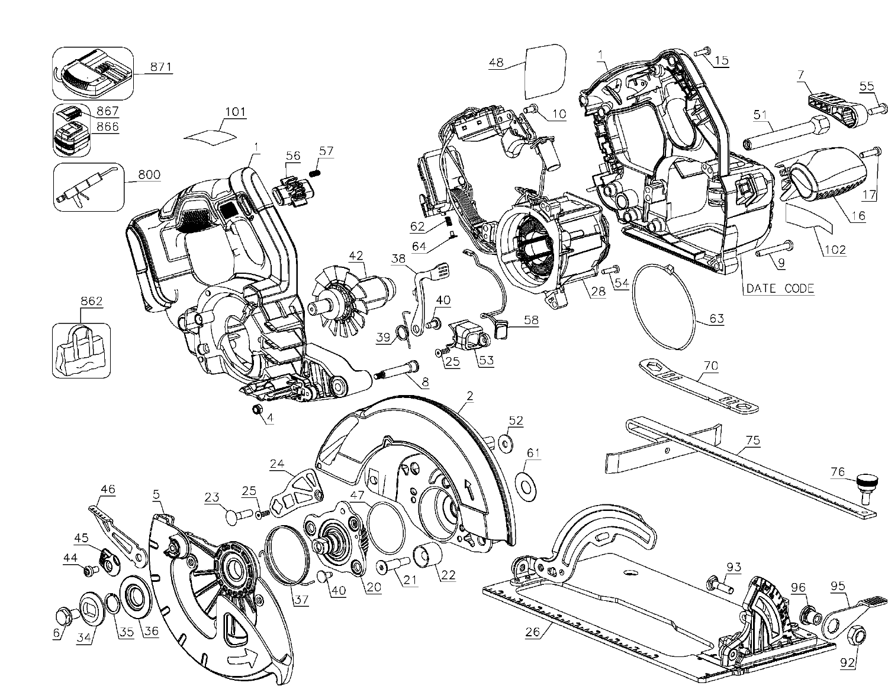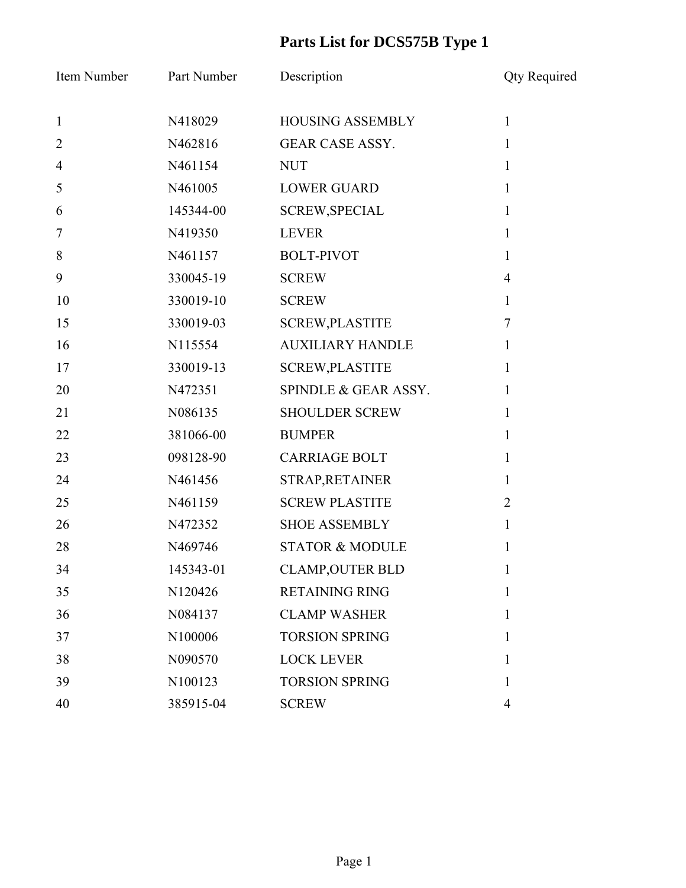## **Parts List for DCS575B Type 1**

| Item Number    | Part Number | Description                | <b>Qty Required</b> |
|----------------|-------------|----------------------------|---------------------|
| $\mathbf{1}$   | N418029     | <b>HOUSING ASSEMBLY</b>    | $\mathbf{1}$        |
| $\overline{2}$ | N462816     | <b>GEAR CASE ASSY.</b>     | 1                   |
| $\overline{4}$ | N461154     | <b>NUT</b>                 | 1                   |
| 5              | N461005     | <b>LOWER GUARD</b>         | $\mathbf{1}$        |
| 6              | 145344-00   | <b>SCREW, SPECIAL</b>      | $\mathbf{1}$        |
| 7              | N419350     | <b>LEVER</b>               | 1                   |
| 8              | N461157     | <b>BOLT-PIVOT</b>          | $\mathbf{1}$        |
| 9              | 330045-19   | <b>SCREW</b>               | $\overline{4}$      |
| 10             | 330019-10   | <b>SCREW</b>               | $\mathbf{1}$        |
| 15             | 330019-03   | <b>SCREW, PLASTITE</b>     | $\overline{7}$      |
| 16             | N115554     | <b>AUXILIARY HANDLE</b>    | $\mathbf{1}$        |
| 17             | 330019-13   | <b>SCREW, PLASTITE</b>     | 1                   |
| 20             | N472351     | SPINDLE & GEAR ASSY.       | $\mathbf{1}$        |
| 21             | N086135     | <b>SHOULDER SCREW</b>      | 1                   |
| 22             | 381066-00   | <b>BUMPER</b>              | 1                   |
| 23             | 098128-90   | <b>CARRIAGE BOLT</b>       | 1                   |
| 24             | N461456     | STRAP, RETAINER            | $\mathbf{1}$        |
| 25             | N461159     | <b>SCREW PLASTITE</b>      | 2                   |
| 26             | N472352     | <b>SHOE ASSEMBLY</b>       | $\mathbf{1}$        |
| 28             | N469746     | <b>STATOR &amp; MODULE</b> | 1                   |
| 34             | 145343-01   | <b>CLAMP, OUTER BLD</b>    | $\mathbf{I}$        |
| 35             | N120426     | <b>RETAINING RING</b>      | 1                   |
| 36             | N084137     | <b>CLAMP WASHER</b>        | 1                   |
| 37             | N100006     | <b>TORSION SPRING</b>      | 1                   |
| 38             | N090570     | <b>LOCK LEVER</b>          | 1                   |
| 39             | N100123     | <b>TORSION SPRING</b>      | $\mathbf{1}$        |
| 40             | 385915-04   | <b>SCREW</b>               | 4                   |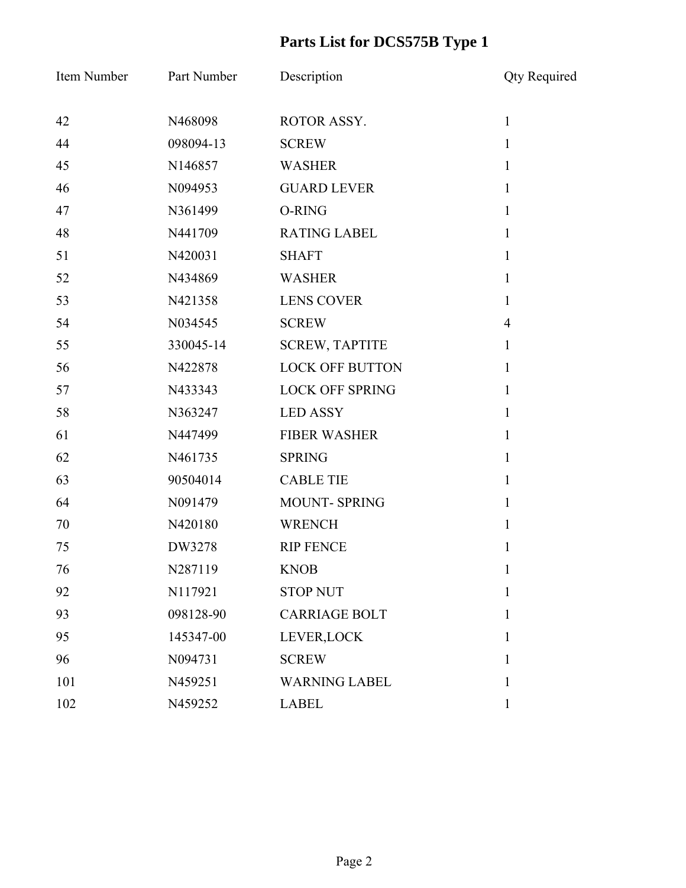## **Parts List for DCS575B Type 1**

| Item Number | Part Number | Description            | <b>Qty Required</b> |
|-------------|-------------|------------------------|---------------------|
| 42          | N468098     | ROTOR ASSY.            | $\mathbf{1}$        |
| 44          | 098094-13   | <b>SCREW</b>           | $\mathbf{1}$        |
| 45          | N146857     | <b>WASHER</b>          | $\mathbf{1}$        |
| 46          | N094953     | <b>GUARD LEVER</b>     | $\mathbf{1}$        |
| 47          | N361499     | O-RING                 | $\mathbf{1}$        |
| 48          | N441709     | <b>RATING LABEL</b>    | $\mathbf{1}$        |
| 51          | N420031     | <b>SHAFT</b>           | $\mathbf{1}$        |
| 52          | N434869     | <b>WASHER</b>          | $\mathbf{1}$        |
| 53          | N421358     | <b>LENS COVER</b>      | $\mathbf{1}$        |
| 54          | N034545     | <b>SCREW</b>           | $\overline{4}$      |
| 55          | 330045-14   | <b>SCREW, TAPTITE</b>  | $\mathbf{1}$        |
| 56          | N422878     | <b>LOCK OFF BUTTON</b> | $\mathbf{1}$        |
| 57          | N433343     | <b>LOCK OFF SPRING</b> | $\mathbf{1}$        |
| 58          | N363247     | <b>LED ASSY</b>        | $\mathbf{1}$        |
| 61          | N447499     | <b>FIBER WASHER</b>    | $\mathbf{1}$        |
| 62          | N461735     | <b>SPRING</b>          | $\mathbf{1}$        |
| 63          | 90504014    | <b>CABLE TIE</b>       | $\mathbf{1}$        |
| 64          | N091479     | <b>MOUNT-SPRING</b>    | $\mathbf{1}$        |
| 70          | N420180     | <b>WRENCH</b>          | $\mathbf{1}$        |
| 75          | DW3278      | <b>RIP FENCE</b>       | 1                   |
| 76          | N287119     | <b>KNOB</b>            | 1                   |
| 92          | N117921     | <b>STOP NUT</b>        | $\mathbf{1}$        |
| 93          | 098128-90   | <b>CARRIAGE BOLT</b>   | 1                   |
| 95          | 145347-00   | LEVER, LOCK            | 1                   |
| 96          | N094731     | <b>SCREW</b>           | 1                   |
| 101         | N459251     | <b>WARNING LABEL</b>   | 1                   |
| 102         | N459252     | <b>LABEL</b>           | $\mathbf{1}$        |